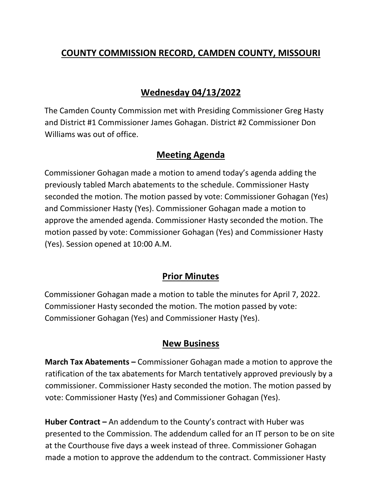# **COUNTY COMMISSION RECORD, CAMDEN COUNTY, MISSOURI**

## **Wednesday 04/13/2022**

The Camden County Commission met with Presiding Commissioner Greg Hasty and District #1 Commissioner James Gohagan. District #2 Commissioner Don Williams was out of office.

### **Meeting Agenda**

Commissioner Gohagan made a motion to amend today's agenda adding the previously tabled March abatements to the schedule. Commissioner Hasty seconded the motion. The motion passed by vote: Commissioner Gohagan (Yes) and Commissioner Hasty (Yes). Commissioner Gohagan made a motion to approve the amended agenda. Commissioner Hasty seconded the motion. The motion passed by vote: Commissioner Gohagan (Yes) and Commissioner Hasty (Yes). Session opened at 10:00 A.M.

### **Prior Minutes**

Commissioner Gohagan made a motion to table the minutes for April 7, 2022. Commissioner Hasty seconded the motion. The motion passed by vote: Commissioner Gohagan (Yes) and Commissioner Hasty (Yes).

### **New Business**

**March Tax Abatements –** Commissioner Gohagan made a motion to approve the ratification of the tax abatements for March tentatively approved previously by a commissioner. Commissioner Hasty seconded the motion. The motion passed by vote: Commissioner Hasty (Yes) and Commissioner Gohagan (Yes).

**Huber Contract –** An addendum to the County's contract with Huber was presented to the Commission. The addendum called for an IT person to be on site at the Courthouse five days a week instead of three. Commissioner Gohagan made a motion to approve the addendum to the contract. Commissioner Hasty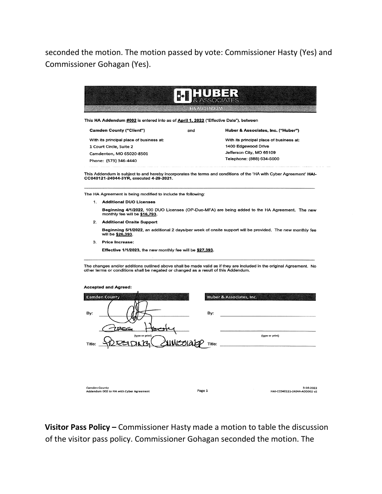seconded the motion. The motion passed by vote: Commissioner Hasty (Yes) and Commissioner Gohagan (Yes).



This HA Addendum #002 is entered into as of April 1, 2022 ("Effective Date"), between

**Camden County ("Client")** and Huber & Associates, Inc. ("Huber") With its principal place of business at: With its principal place of business at: 1 Court Circle, Suite 2 1400 Edgewood Drive Jefferson City, MO 65109 Camdenton, MO 65020-8501 Telephone: (888) 634-5000 Phone: (573) 346-4440

This Addendum is subject to and hereby incorporates the terms and conditions of the 'HA with Cyber Agreement' HAI-CC040121-24044-3YR, executed 4-29-2021.

The HA Agreement is being modified to include the following:

- 1. Additional DUO Licenses Beginning 4/1/2022, 100 DUO Licenses (OP-Duo-MFA) are being added to the HA Agreement. The new<br>monthly fee will be \$16,793.
- 2. Additional Onsite Support

Beginning 5/1/2022, an additional 2 days/per week of onsite support will be provided. The new monthly fee will be \$26,393.

3. Price Increase:

Effective 1/1/2023, the new monthly fee will be \$27,393.

The changes and/or additions outlined above shall be made valid as if they are included in the original Agreement. No<br>other terms or conditions shall be negated or changed as a result of this Addendum.

| <b>Accepted and Agreed:</b> |  |  |  |
|-----------------------------|--|--|--|
|-----------------------------|--|--|--|

| <b>Camden County</b>                                            | Huber & Associates, Inc. |                                           |
|-----------------------------------------------------------------|--------------------------|-------------------------------------------|
| By:                                                             | By:                      |                                           |
| PEG<br>(type or print)<br>Title:                                | Title:                   | (type or print)                           |
|                                                                 |                          |                                           |
| <b>Camden County</b><br>Addendum 002 to HA with Cyber Agreement | Page 1                   | 3-16-2022<br>HAI-CC040121-24044-ADD002 v2 |

Visitor Pass Policy - Commissioner Hasty made a motion to table the discussion of the visitor pass policy. Commissioner Gohagan seconded the motion. The